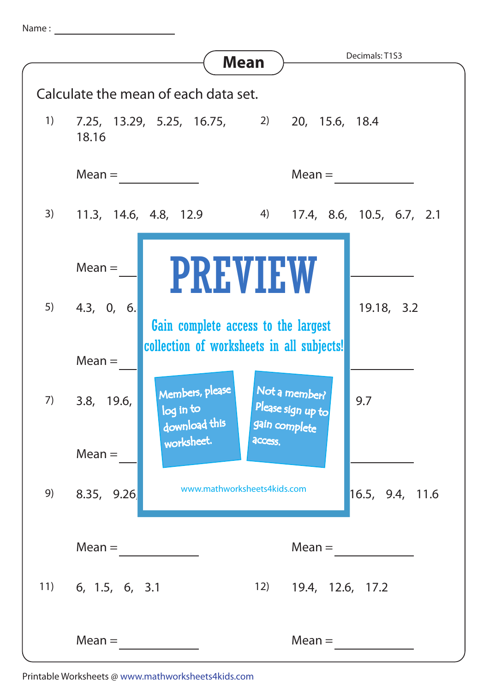